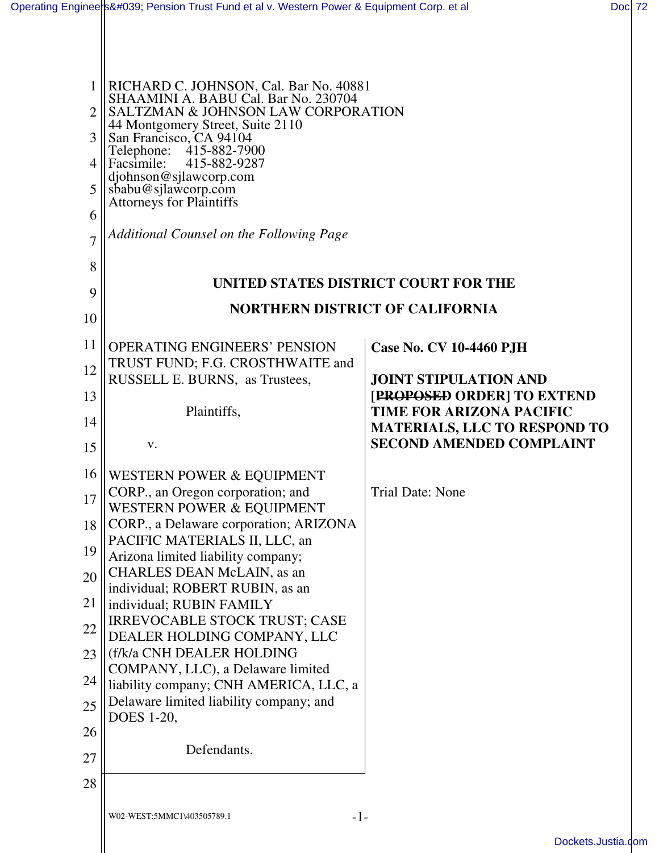|    | RICHARD C. JOHNSON, Cal. Bar No. 40881<br>SHAAMINI A. BABU Cal. Bar No. 230704 |                                                                        |  |
|----|--------------------------------------------------------------------------------|------------------------------------------------------------------------|--|
| 2  | SALTZMAN & JOHNSON LAW CORPORATION                                             |                                                                        |  |
| 3  | 44 Montgomery Street, Suite 2110<br>San Francisco, CA 94104                    |                                                                        |  |
|    | Telephone: 415-882-7900<br>415-882-9287<br>Facsimile:                          |                                                                        |  |
| 5  | djohnson@sjlawcorp.com                                                         |                                                                        |  |
|    | sbabu@sjlawcorp.com<br>Attorneys for Plaintiffs                                |                                                                        |  |
| 6  | Additional Counsel on the Following Page                                       |                                                                        |  |
| 8  |                                                                                |                                                                        |  |
| 9  | UNITED STATES DISTRICT COURT FOR THE                                           |                                                                        |  |
| 10 | <b>NORTHERN DISTRICT OF CALIFORNIA</b>                                         |                                                                        |  |
| 11 | <b>OPERATING ENGINEERS' PENSION</b>                                            | <b>Case No. CV 10-4460 PJH</b>                                         |  |
| 12 | TRUST FUND; F.G. CROSTHWAITE and<br>RUSSELL E. BURNS, as Trustees,             | <b>JOINT STIPULATION AND</b>                                           |  |
| 13 |                                                                                | [PROPOSED ORDER] TO EXTEND                                             |  |
| 14 | Plaintiffs,                                                                    | <b>TIME FOR ARIZONA PACIFIC</b>                                        |  |
| 15 | V.                                                                             | <b>MATERIALS, LLC TO RESPOND TO</b><br><b>SECOND AMENDED COMPLAINT</b> |  |
| 16 | WESTERN POWER & EQUIPMENT                                                      |                                                                        |  |
| 17 | CORP., an Oregon corporation; and<br><b>WESTERN POWER &amp; EQUIPMENT</b>      | <b>Trial Date: None</b>                                                |  |
| 18 | CORP., a Delaware corporation; ARIZONA                                         |                                                                        |  |
| 19 | PACIFIC MATERIALS II, LLC, an                                                  |                                                                        |  |
| 20 | Arizona limited liability company;<br>CHARLES DEAN McLAIN, as an               |                                                                        |  |
|    | individual; ROBERT RUBIN, as an                                                |                                                                        |  |
| 21 | individual; RUBIN FAMILY<br><b>IRREVOCABLE STOCK TRUST; CASE</b>               |                                                                        |  |
| 22 | DEALER HOLDING COMPANY, LLC                                                    |                                                                        |  |
| 23 | (f/k/a CNH DEALER HOLDING<br>COMPANY, LLC), a Delaware limited                 |                                                                        |  |
| 24 | liability company; CNH AMERICA, LLC, a                                         |                                                                        |  |
| 25 | Delaware limited liability company; and<br>DOES 1-20,                          |                                                                        |  |
| 26 |                                                                                |                                                                        |  |
| 27 | Defendants.                                                                    |                                                                        |  |
| 28 |                                                                                |                                                                        |  |
|    | W02-WEST:5MMC1\403505789.1<br>$-1-$                                            |                                                                        |  |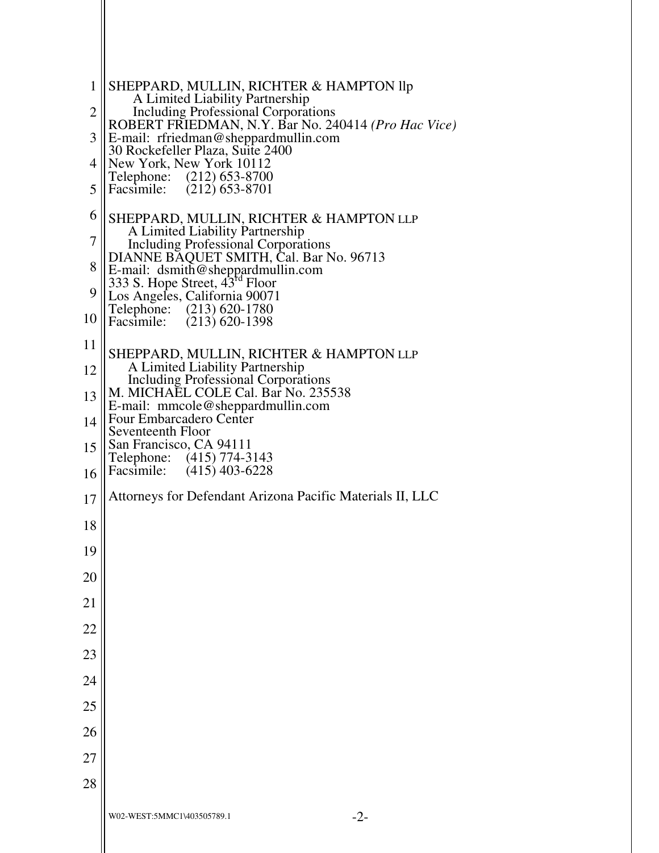```
W02-WEST:5MMC1\403505789.1 -2-
 1
 2
 3
 4
 5
 6
 7
 8
 \overline{Q}10
11
12
13
14
15
16
17
18
19
20
21
22
23
24
25
26
27
28
    SHEPPARD, MULLIN, RICHTER & HAMPTON llp 
          A Limited Liability Partnership 
          Including Professional Corporations 
    ROBERT FRIEDMAN, N.Y. Bar No. 240414 (Pro Hac Vice) 
    E-mail: rfriedman@sheppardmullin.com 
    30 Rockefeller Plaza, Suite 2400 
    New York, New York 10112<br>Telephone: (212) 653-8700
    Telephone: (212) 653-8700<br>Facsimile: (212) 653-8701
                  (212) 653-8701
    SHEPPARD, MULLIN, RICHTER & HAMPTON LLP
        A Limited Liability Partnership 
        Including Professional Corporations 
    DIANNE BAQUET SMITH, Cal. Bar No. 96713 
    E-mail: dsmith@sheppardmullin.com 
    \frac{333}{333} S. Hope Street, 43^{rd} Floor
    Los Angeles, California 90071 
    Telephone: (213) 620-1780<br>Facsimile: (213) 620-1398
                  (213) 620-1398
    SHEPPARD, MULLIN, RICHTER & HAMPTON LLP
        A Limited Liability Partnership 
        Including Professional Corporations 
    M. MICHAEL COLE Cal. Bar No. 235538 
    E-mail: mmcole@sheppardmullin.com 
    Four Embarcadero Center 
    Seventeenth Floor 
    San Francisco, CA 94111 
    Telephone: (415) 774-3143<br>Facsimile: (415) 403-6228
                  (415) 403-6228
    Attorneys for Defendant Arizona Pacific Materials II, LLC
```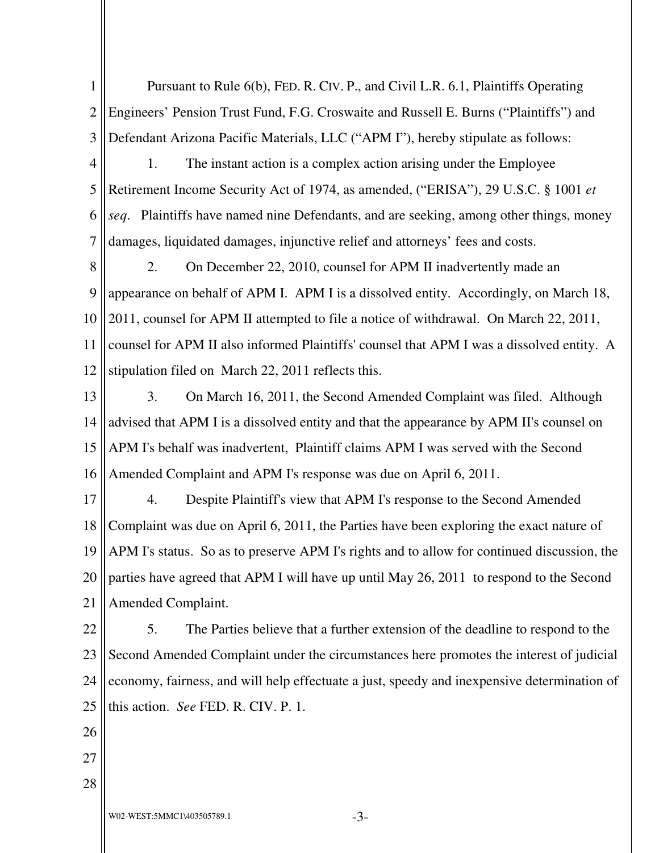1 2 3 4 5 6 Pursuant to Rule 6(b), FED. R. CIV. P., and Civil L.R. 6.1, Plaintiffs Operating Engineers' Pension Trust Fund, F.G. Croswaite and Russell E. Burns ("Plaintiffs") and Defendant Arizona Pacific Materials, LLC ("APM I"), hereby stipulate as follows: 1. The instant action is a complex action arising under the Employee Retirement Income Security Act of 1974, as amended, ("ERISA"), 29 U.S.C. § 1001 *et seq*. Plaintiffs have named nine Defendants, and are seeking, among other things, money

7 damages, liquidated damages, injunctive relief and attorneys' fees and costs.

8 9 10 11 12 2. On December 22, 2010, counsel for APM II inadvertently made an appearance on behalf of APM I. APM I is a dissolved entity. Accordingly, on March 18, 2011, counsel for APM II attempted to file a notice of withdrawal. On March 22, 2011, counsel for APM II also informed Plaintiffs' counsel that APM I was a dissolved entity. A stipulation filed on March 22, 2011 reflects this.

13 14 15 16 3. On March 16, 2011, the Second Amended Complaint was filed. Although advised that APM I is a dissolved entity and that the appearance by APM II's counsel on APM I's behalf was inadvertent, Plaintiff claims APM I was served with the Second Amended Complaint and APM I's response was due on April 6, 2011.

17 18 19 20 21 4. Despite Plaintiff's view that APM I's response to the Second Amended Complaint was due on April 6, 2011, the Parties have been exploring the exact nature of APM I's status. So as to preserve APM I's rights and to allow for continued discussion, the parties have agreed that APM I will have up until May 26, 2011 to respond to the Second Amended Complaint.

22 23 24 25 5. The Parties believe that a further extension of the deadline to respond to the Second Amended Complaint under the circumstances here promotes the interest of judicial economy, fairness, and will help effectuate a just, speedy and inexpensive determination of this action. *See* FED. R. CIV. P. 1.

26

- 27
- 28